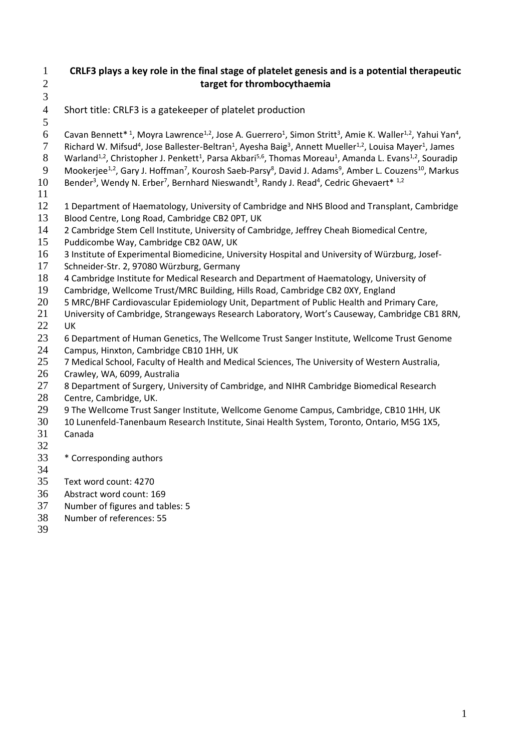- **CRLF3 plays a key role in the final stage of platelet genesis and is a potential therapeutic target for thrombocythaemia**
- 
- Short title: CRLF3 is a gatekeeper of platelet production
- 6 Cavan Bennett<sup>\* 1</sup>, Moyra Lawrence<sup>1,2</sup>, Jose A. Guerrero<sup>1</sup>, Simon Stritt<sup>3</sup>, Amie K. Waller<sup>1,2</sup>, Yahui Yan<sup>4</sup>,
- 7 Richard W. Mifsud<sup>4</sup>, Jose Ballester-Beltran<sup>1</sup>, Ayesha Baig<sup>3</sup>, Annett Mueller<sup>1,2</sup>, Louisa Mayer<sup>1</sup>, James
- 8 Warland<sup>1,2</sup>, Christopher J. Penkett<sup>1</sup>, Parsa Akbari<sup>5,6</sup>, Thomas Moreau<sup>1</sup>, Amanda L. Evans<sup>1,2</sup>, Souradip
- 9 Mookerjee<sup>1,2</sup>, Gary J. Hoffman<sup>7</sup>, Kourosh Saeb-Parsy<sup>8</sup>, David J. Adams<sup>9</sup>, Amber L. Couzens<sup>10</sup>, Markus
- 10 Bender<sup>3</sup>, Wendy N. Erber<sup>7</sup>, Bernhard Nieswandt<sup>3</sup>, Randy J. Read<sup>4</sup>, Cedric Ghevaert\*<sup>1,2</sup>
- 
- 12 1 Department of Haematology, University of Cambridge and NHS Blood and Transplant, Cambridge
- Blood Centre, Long Road, Cambridge CB2 0PT, UK
- 2 Cambridge Stem Cell Institute, University of Cambridge, Jeffrey Cheah Biomedical Centre,
- Puddicombe Way, Cambridge CB2 0AW, UK
- 3 Institute of Experimental Biomedicine, University Hospital and University of Würzburg, Josef-
- Schneider-Str. 2, 97080 Würzburg, Germany
- 4 Cambridge Institute for Medical Research and Department of Haematology, University of
- Cambridge, Wellcome Trust/MRC Building, Hills Road, Cambridge CB2 0XY, England
- 5 MRC/BHF Cardiovascular Epidemiology Unit, Department of Public Health and Primary Care,
- University of Cambridge, Strangeways Research Laboratory, Wort's Causeway, Cambridge CB1 8RN, UK
- 23 6 Department of Human Genetics, The Wellcome Trust Sanger Institute, Wellcome Trust Genome
- Campus, Hinxton, Cambridge CB10 1HH, UK
- 25 7 Medical School, Faculty of Health and Medical Sciences, The University of Western Australia,
- Crawley, WA, 6099, Australia
- 27 8 Department of Surgery, University of Cambridge, and NIHR Cambridge Biomedical Research
- Centre, Cambridge, UK.
- 9 The Wellcome Trust Sanger Institute, Wellcome Genome Campus, Cambridge, CB10 1HH, UK
- 10 Lunenfeld-Tanenbaum Research Institute, Sinai Health System, Toronto, Ontario, M5G 1X5, Canada
- 
- \* Corresponding authors
- 
- Text word count: 4270
- Abstract word count: 169
- Number of figures and tables: 5
- Number of references: 55
-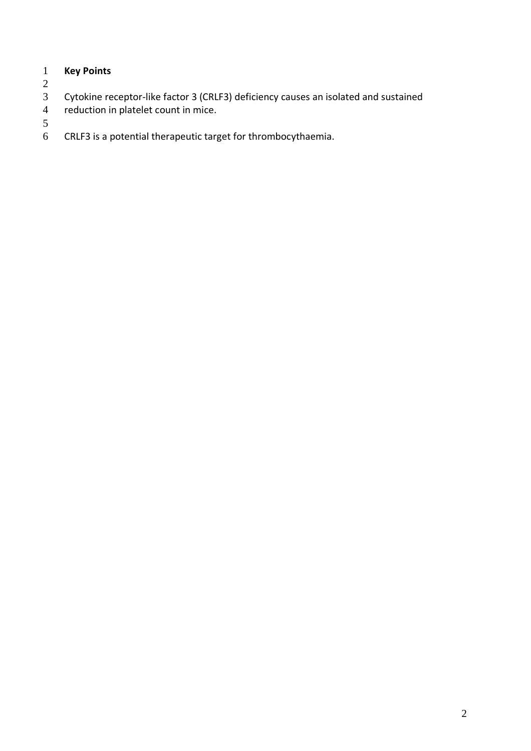# **Key Points**

 $\frac{2}{3}$ 

Cytokine receptor-like factor 3 (CRLF3) deficiency causes an isolated and sustained

reduction in platelet count in mice. 

CRLF3 is a potential therapeutic target for thrombocythaemia.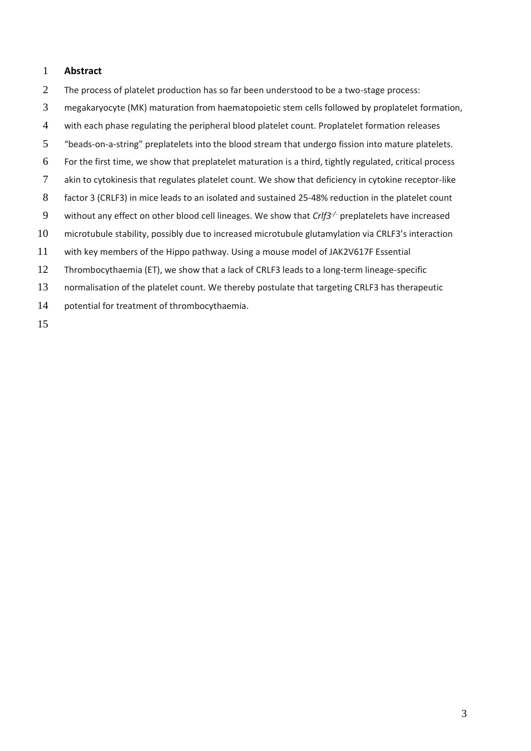## **Abstract**

- The process of platelet production has so far been understood to be a two-stage process:
- megakaryocyte (MK) maturation from haematopoietic stem cells followed by proplatelet formation,
- with each phase regulating the peripheral blood platelet count. Proplatelet formation releases
- "beads-on-a-string" preplatelets into the blood stream that undergo fission into mature platelets.
- For the first time, we show that preplatelet maturation is a third, tightly regulated, critical process
- akin to cytokinesis that regulates platelet count. We show that deficiency in cytokine receptor-like
- factor 3 (CRLF3) in mice leads to an isolated and sustained 25-48% reduction in the platelet count
- 9 without any effect on other blood cell lineages. We show that *Crlf3<sup>-/-</sup>* preplatelets have increased
- microtubule stability, possibly due to increased microtubule glutamylation via CRLF3's interaction
- with key members of the Hippo pathway. Using a mouse model of JAK2V617F Essential
- Thrombocythaemia (ET), we show that a lack of CRLF3 leads to a long-term lineage-specific
- normalisation of the platelet count. We thereby postulate that targeting CRLF3 has therapeutic
- potential for treatment of thrombocythaemia.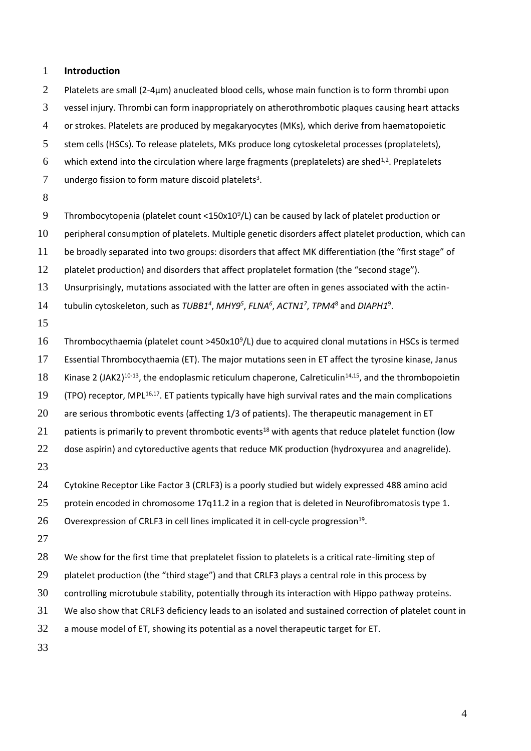#### 1 **Introduction**

2 Platelets are small (2-4 $\mu$ m) anucleated blood cells, whose main function is to form thrombi upon 3 vessel injury. Thrombi can form inappropriately on atherothrombotic plaques causing heart attacks 4 or strokes. Platelets are produced by megakaryocytes (MKs), which derive from haematopoietic 5 stem cells (HSCs). To release platelets, MKs produce long cytoskeletal processes (proplatelets), 6 which extend into the circulation where large fragments (preplatelets) are shed<sup>1,2</sup>. Preplatelets 7 undergo fission to form mature discoid platelets<sup>3</sup>. 8 9 Thrombocytopenia (platelet count <150x10<sup>9</sup>/L) can be caused by lack of platelet production or 10 peripheral consumption of platelets. Multiple genetic disorders affect platelet production, which can 11 be broadly separated into two groups: disorders that affect MK differentiation (the "first stage" of 12 platelet production) and disorders that affect proplatelet formation (the "second stage"). 13 Unsurprisingly, mutations associated with the latter are often in genes associated with the actin-14 tubulin cytoskeleton, such as *TUBB1<sup>4</sup>*, MHY9<sup>5</sup>, FLNA<sup>6</sup>, ACTN1<sup>7</sup>, TPM4<sup>8</sup> and DIAPH1<sup>9</sup>. 15 16 Thrombocythaemia (platelet count >450x10<sup>9</sup>/L) due to acquired clonal mutations in HSCs is termed 17 Essential Thrombocythaemia (ET). The major mutations seen in ET affect the tyrosine kinase, Janus 18 Kinase 2 (JAK2)<sup>10-13</sup>, the endoplasmic reticulum chaperone, Calreticulin<sup>14,15</sup>, and the thrombopoietin 19 (TPO) receptor, MPL<sup>16,17</sup>. ET patients typically have high survival rates and the main complications 20 are serious thrombotic events (affecting 1/3 of patients). The therapeutic management in ET 21 patients is primarily to prevent thrombotic events<sup>18</sup> with agents that reduce platelet function (low 22 dose aspirin) and cytoreductive agents that reduce MK production (hydroxyurea and anagrelide). 23 24 Cytokine Receptor Like Factor 3 (CRLF3) is a poorly studied but widely expressed 488 amino acid 25 protein encoded in chromosome 17q11.2 in a region that is deleted in Neurofibromatosis type 1.  $26$  Overexpression of CRLF3 in cell lines implicated it in cell-cycle progression<sup>19</sup>. 27 28 We show for the first time that preplatelet fission to platelets is a critical rate-limiting step of 29 platelet production (the "third stage") and that CRLF3 plays a central role in this process by 30 controlling microtubule stability, potentially through its interaction with Hippo pathway proteins. 31 We also show that CRLF3 deficiency leads to an isolated and sustained correction of platelet count in 32 a mouse model of ET, showing its potential as a novel therapeutic target for ET. 33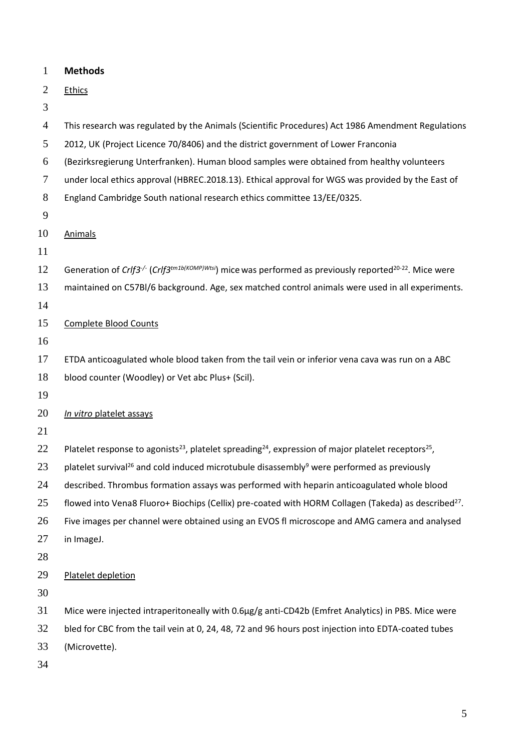| $\mathbf{1}$   | <b>Methods</b>                                                                                                                               |
|----------------|----------------------------------------------------------------------------------------------------------------------------------------------|
| $\overline{2}$ | <b>Ethics</b>                                                                                                                                |
| 3              |                                                                                                                                              |
| $\overline{4}$ | This research was regulated by the Animals (Scientific Procedures) Act 1986 Amendment Regulations                                            |
| 5              | 2012, UK (Project Licence 70/8406) and the district government of Lower Franconia                                                            |
| 6              | (Bezirksregierung Unterfranken). Human blood samples were obtained from healthy volunteers                                                   |
| $\tau$         | under local ethics approval (HBREC.2018.13). Ethical approval for WGS was provided by the East of                                            |
| 8              | England Cambridge South national research ethics committee 13/EE/0325.                                                                       |
| 9              |                                                                                                                                              |
| 10             | <b>Animals</b>                                                                                                                               |
| 11             |                                                                                                                                              |
| 12             | Generation of CrIf3 <sup>-/-</sup> (CrIf3 <sup>tm1b(KOMP)Wtsi</sup> ) mice was performed as previously reported <sup>20-22</sup> . Mice were |
| 13             | maintained on C57Bl/6 background. Age, sex matched control animals were used in all experiments.                                             |
| 14             |                                                                                                                                              |
| 15             | <b>Complete Blood Counts</b>                                                                                                                 |
| 16             |                                                                                                                                              |
| 17             | ETDA anticoagulated whole blood taken from the tail vein or inferior vena cava was run on a ABC                                              |
| 18             | blood counter (Woodley) or Vet abc Plus+ (Scil).                                                                                             |
| 19             |                                                                                                                                              |
| 20             | In vitro platelet assays                                                                                                                     |
| 21             |                                                                                                                                              |
| 22             | Platelet response to agonists <sup>23</sup> , platelet spreading <sup>24</sup> , expression of major platelet receptors <sup>25</sup> ,      |
| 23             | platelet survival <sup>26</sup> and cold induced microtubule disassembly <sup>9</sup> were performed as previously                           |
| 24             | described. Thrombus formation assays was performed with heparin anticoagulated whole blood                                                   |
| 25             | flowed into Vena8 Fluoro+ Biochips (Cellix) pre-coated with HORM Collagen (Takeda) as described <sup>27</sup> .                              |
| 26             | Five images per channel were obtained using an EVOS fl microscope and AMG camera and analysed                                                |
| 27             | in ImageJ.                                                                                                                                   |
| 28             |                                                                                                                                              |
| 29             | Platelet depletion                                                                                                                           |
| 30             |                                                                                                                                              |
| 31             | Mice were injected intraperitoneally with 0.6µg/g anti-CD42b (Emfret Analytics) in PBS. Mice were                                            |
| 32             | bled for CBC from the tail vein at 0, 24, 48, 72 and 96 hours post injection into EDTA-coated tubes                                          |
| 33             | (Microvette).                                                                                                                                |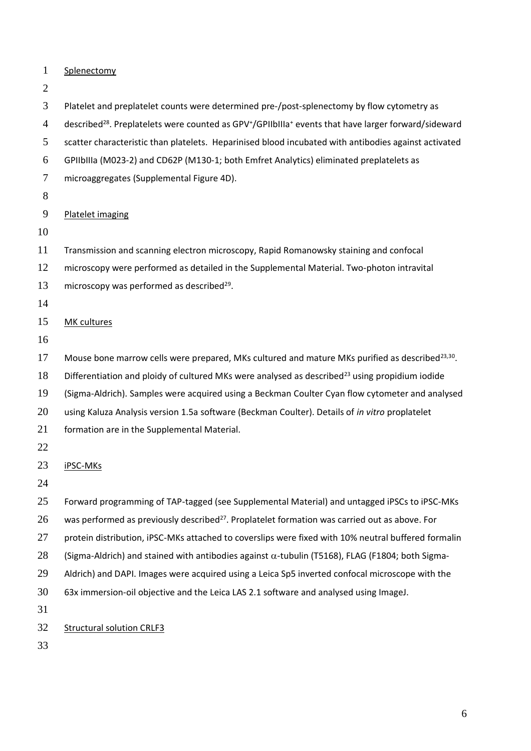Splenectomy

Platelet and preplatelet counts were determined pre-/post-splenectomy by flow cytometry as

4 described<sup>28</sup>. Preplatelets were counted as GPV<sup>+</sup>/GPIIbIIIa<sup>+</sup> events that have larger forward/sideward

scatter characteristic than platelets. Heparinised blood incubated with antibodies against activated

GPIIbIIIa (M023-2) and CD62P (M130-1; both Emfret Analytics) eliminated preplatelets as

- microaggregates (Supplemental Figure 4D).
- 

Platelet imaging

Transmission and scanning electron microscopy, Rapid Romanowsky staining and confocal

microscopy were performed as detailed in the Supplemental Material. Two-photon intravital

- 13 microscopy was performed as described.
- 

## MK cultures

17 Mouse bone marrow cells were prepared, MKs cultured and mature MKs purified as described<sup>23,30</sup>.

18 Differentiation and ploidy of cultured MKs were analysed as described<sup>23</sup> using propidium iodide

(Sigma-Aldrich). Samples were acquired using a Beckman Coulter Cyan flow cytometer and analysed

using Kaluza Analysis version 1.5a software (Beckman Coulter). Details of *in vitro* proplatelet

- formation are in the Supplemental Material.
- 

# iPSC-MKs

Forward programming of TAP-tagged (see Supplemental Material) and untagged iPSCs to iPSC-MKs

was performed as previously described<sup>27</sup>. Proplatelet formation was carried out as above. For

protein distribution, iPSC-MKs attached to coverslips were fixed with 10% neutral buffered formalin

28 (Sigma-Aldrich) and stained with antibodies against  $\alpha$ -tubulin (T5168), FLAG (F1804; both Sigma-

Aldrich) and DAPI. Images were acquired using a Leica Sp5 inverted confocal microscope with the

63x immersion-oil objective and the Leica LAS 2.1 software and analysed using ImageJ.

Structural solution CRLF3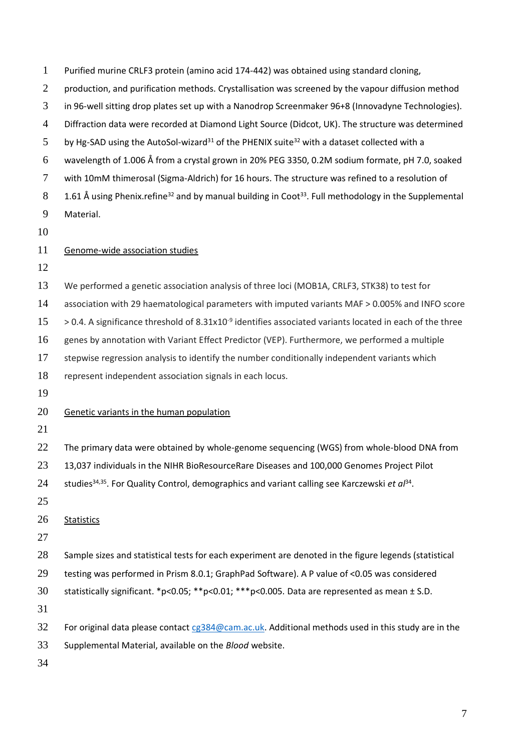| $\mathbf{1}$   | Purified murine CRLF3 protein (amino acid 174-442) was obtained using standard cloning,                                      |
|----------------|------------------------------------------------------------------------------------------------------------------------------|
| $\overline{2}$ | production, and purification methods. Crystallisation was screened by the vapour diffusion method                            |
| 3              | in 96-well sitting drop plates set up with a Nanodrop Screenmaker 96+8 (Innovadyne Technologies).                            |
| $\overline{4}$ | Diffraction data were recorded at Diamond Light Source (Didcot, UK). The structure was determined                            |
| 5              | by Hg-SAD using the AutoSol-wizard <sup>31</sup> of the PHENIX suite <sup>32</sup> with a dataset collected with a           |
| 6              | wavelength of 1.006 Å from a crystal grown in 20% PEG 3350, 0.2M sodium formate, pH 7.0, soaked                              |
| 7              | with 10mM thimerosal (Sigma-Aldrich) for 16 hours. The structure was refined to a resolution of                              |
| $8\,$          | 1.61 Å using Phenix.refine <sup>32</sup> and by manual building in Coot <sup>33</sup> . Full methodology in the Supplemental |
| 9              | Material.                                                                                                                    |
| 10             |                                                                                                                              |
| 11             | Genome-wide association studies                                                                                              |
| 12             |                                                                                                                              |
| 13             | We performed a genetic association analysis of three loci (MOB1A, CRLF3, STK38) to test for                                  |
| 14             | association with 29 haematological parameters with imputed variants MAF > 0.005% and INFO score                              |
| 15             | $>$ 0.4. A significance threshold of 8.31x10 $\textdegree$ identifies associated variants located in each of the three       |
| 16             | genes by annotation with Variant Effect Predictor (VEP). Furthermore, we performed a multiple                                |
| 17             | stepwise regression analysis to identify the number conditionally independent variants which                                 |
| 18             | represent independent association signals in each locus.                                                                     |
| 19             |                                                                                                                              |
| 20             | Genetic variants in the human population                                                                                     |
| 21             |                                                                                                                              |
| 22             | The primary data were obtained by whole-genome sequencing (WGS) from whole-blood DNA from                                    |
| 23             | 13,037 individuals in the NIHR BioResourceRare Diseases and 100,000 Genomes Project Pilot                                    |
| 24             | studies <sup>34,35</sup> . For Quality Control, demographics and variant calling see Karczewski et $a^{34}$ .                |
| 25             |                                                                                                                              |
| 26             | <b>Statistics</b>                                                                                                            |
| 27             |                                                                                                                              |
| 28             | Sample sizes and statistical tests for each experiment are denoted in the figure legends (statistical                        |
| 29             | testing was performed in Prism 8.0.1; GraphPad Software). A P value of <0.05 was considered                                  |
| 30             | statistically significant. *p<0.05; **p<0.01; ***p<0.005. Data are represented as mean ± S.D.                                |
| 31             |                                                                                                                              |
| 32             | For original data please contact cg384@cam.ac.uk. Additional methods used in this study are in the                           |
| 33             | Supplemental Material, available on the Blood website.                                                                       |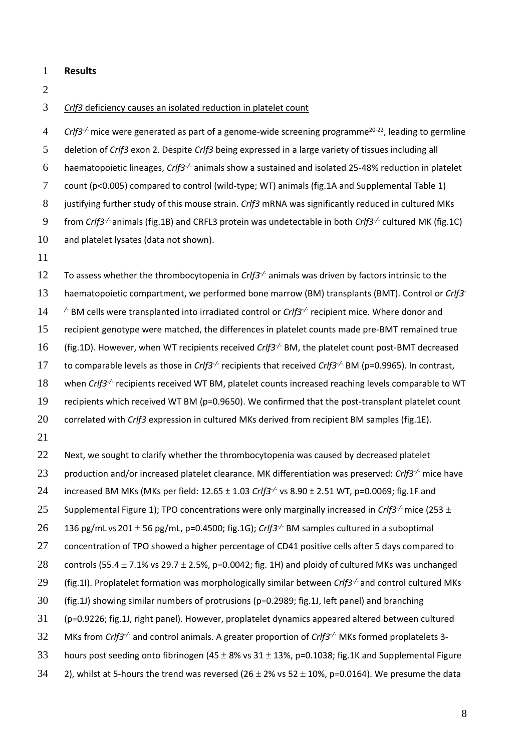- 1 **Results**
- 2

3 *Crlf3* deficiency causes an isolated reduction in platelet count

4 Crlf3<sup>-/-</sup> mice were generated as part of a genome-wide screening programme<sup>20-22</sup>, leading to germline 5 deletion of *Crlf3* exon 2. Despite *Crlf3* being expressed in a large variety of tissues including all haematopoietic lineages, *Crlf3-/-* 6 animals show a sustained and isolated 25-48% reduction in platelet 7 count (p<0.005) compared to control (wild-type; WT) animals (fig.1A and Supplemental Table 1) 8 justifying further study of this mouse strain. *Crlf3* mRNA was significantly reduced in cultured MKs from *Crlf3<sup>-/-</sup>* animals (fig.1B) and CRFL3 protein was undetectable in both *Crlf3<sup>-/-</sup>* cultured MK (fig.1C) 10 and platelet lysates (data not shown). 11

- 12 To assess whether the thrombocytopenia in *Crlf3<sup>-/-</sup>* animals was driven by factors intrinsic to the 13 haematopoietic compartment, we performed bone marrow (BM) transplants (BMT). Control or *Crlf3*<sup>-</sup> 14 /<sup>-</sup> BM cells were transplanted into irradiated control or *Crlf3<sup>-/-</sup>* recipient mice. Where donor and 15 recipient genotype were matched, the differences in platelet counts made pre-BMT remained true 16 (fig.1D). However, when WT recipients received *Crlf3<sup>-/-</sup>* BM, the platelet count post-BMT decreased 17 to comparable levels as those in *Crlf3<sup>-/-</sup>* recipients that received *Crlf3<sup>-/-</sup>* BM (p=0.9965). In contrast, 18 when *Crlf3<sup>-/-</sup>* recipients received WT BM, platelet counts increased reaching levels comparable to WT 19 recipients which received WT BM (p=0.9650). We confirmed that the post-transplant platelet count 20 correlated with *Crlf3* expression in cultured MKs derived from recipient BM samples (fig.1E).
- 21

22 Next, we sought to clarify whether the thrombocytopenia was caused by decreased platelet 23 production and/or increased platelet clearance. MK differentiation was preserved: *Crlf3<sup>-/-</sup>* mice have 24 increased BM MKs (MKs per field: 12.65 ± 1.03 *Crlf3<sup>-/-</sup>* vs 8.90 ± 2.51 WT, p=0.0069; fig.1F and Supplemental Figure 1); TPO concentrations were only marginally increased in *Crlf3<sup>-/-</sup>* mice (253  $\pm$ 26 136 pg/mL vs 201  $\pm$  56 pg/mL, p=0.4500; fig.1G); *Crlf3<sup>-/-</sup>* BM samples cultured in a suboptimal 27 concentration of TPO showed a higher percentage of CD41 positive cells after 5 days compared to 28 controls (55.4  $\pm$  7.1% vs 29.7  $\pm$  2.5%, p=0.0042; fig. 1H) and ploidy of cultured MKs was unchanged (fig.1I). Proplatelet formation was morphologically similar between *Crlf3-/-* 29 and control cultured MKs 30 (fig.1J) showing similar numbers of protrusions (p=0.2989; fig.1J, left panel) and branching 31 (p=0.9226; fig.1J, right panel). However, proplatelet dynamics appeared altered between cultured 32 MKs from *Crlf3<sup>-/-</sup>* and control animals. A greater proportion of *Crlf3<sup>-/-</sup>* MKs formed proplatelets 3-33 hours post seeding onto fibrinogen (45  $\pm$  8% vs 31  $\pm$  13%, p=0.1038; fig.1K and Supplemental Figure 34 2), whilst at 5-hours the trend was reversed (26  $\pm$  2% vs 52  $\pm$  10%, p=0.0164). We presume the data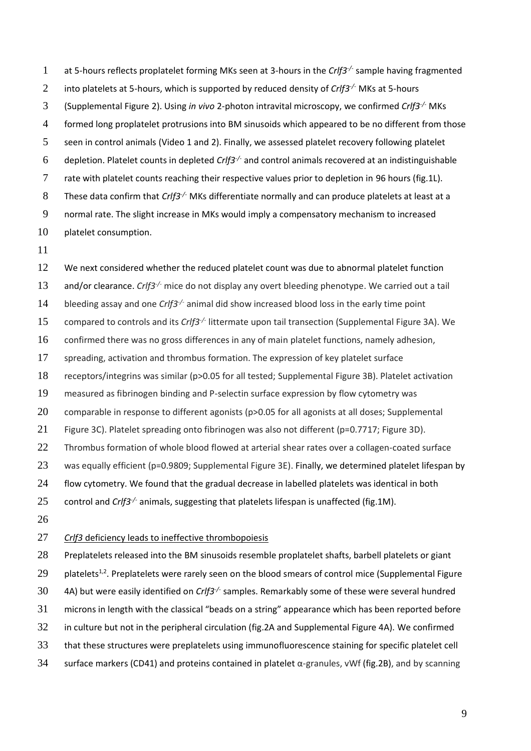1 at 5-hours reflects proplatelet forming MKs seen at 3-hours in the *Crlf3<sup>-/-</sup>* sample having fragmented 2 into platelets at 5-hours, which is supported by reduced density of *Crlf3<sup>-/-</sup>* MKs at 5-hours 3 (Supplemental Figure 2). Using *in vivo* 2-photon intravital microscopy, we confirmed *Crlf3<sup>-/-</sup>* MKs 4 formed long proplatelet protrusions into BM sinusoids which appeared to be no different from those 5 seen in control animals (Video 1 and 2). Finally, we assessed platelet recovery following platelet depletion. Platelet counts in depleted *Crlf3-/-* 6 and control animals recovered at an indistinguishable 7 rate with platelet counts reaching their respective values prior to depletion in 96 hours (fig.1L). 8 These data confirm that *Crlf3<sup>-/-</sup>* MKs differentiate normally and can produce platelets at least at a 9 normal rate. The slight increase in MKs would imply a compensatory mechanism to increased 10 platelet consumption.

11

12 We next considered whether the reduced platelet count was due to abnormal platelet function 13 and/or clearance. *Crlf3<sup>-/-</sup>* mice do not display any overt bleeding phenotype. We carried out a tail 14 bleeding assay and one *Crlf3<sup>-/-</sup>* animal did show increased blood loss in the early time point 15 compared to controls and its *Crlf3<sup>-/-</sup>* littermate upon tail transection (Supplemental Figure 3A). We 16 confirmed there was no gross differences in any of main platelet functions, namely adhesion, 17 spreading, activation and thrombus formation. The expression of key platelet surface 18 receptors/integrins was similar (p>0.05 for all tested; Supplemental Figure 3B). Platelet activation 19 measured as fibrinogen binding and P-selectin surface expression by flow cytometry was 20 comparable in response to different agonists (p>0.05 for all agonists at all doses; Supplemental 21 Figure 3C). Platelet spreading onto fibrinogen was also not different (p=0.7717; Figure 3D). 22 Thrombus formation of whole blood flowed at arterial shear rates over a collagen-coated surface 23 was equally efficient (p=0.9809; Supplemental Figure 3E). Finally, we determined platelet lifespan by 24 flow cytometry. We found that the gradual decrease in labelled platelets was identical in both 25 control and *Crlf3<sup>-/-</sup>* animals, suggesting that platelets lifespan is unaffected (fig.1M). 26

## 27 *Crlf3* deficiency leads to ineffective thrombopoiesis

 Preplatelets released into the BM sinusoids resemble proplatelet shafts, barbell platelets or giant 29 . platelets<sup>1,2</sup>. Preplatelets were rarely seen on the blood smears of control mice (Supplemental Figure 30 4A) but were easily identified on *Crlf3<sup>-/-</sup>* samples. Remarkably some of these were several hundred microns in length with the classical "beads on a string" appearance which has been reported before in culture but not in the peripheral circulation (fig.2A and Supplemental Figure 4A). We confirmed that these structures were preplatelets using immunofluorescence staining for specific platelet cell surface markers (CD41) and proteins contained in platelet α-granules, vWf (fig.2B), and by scanning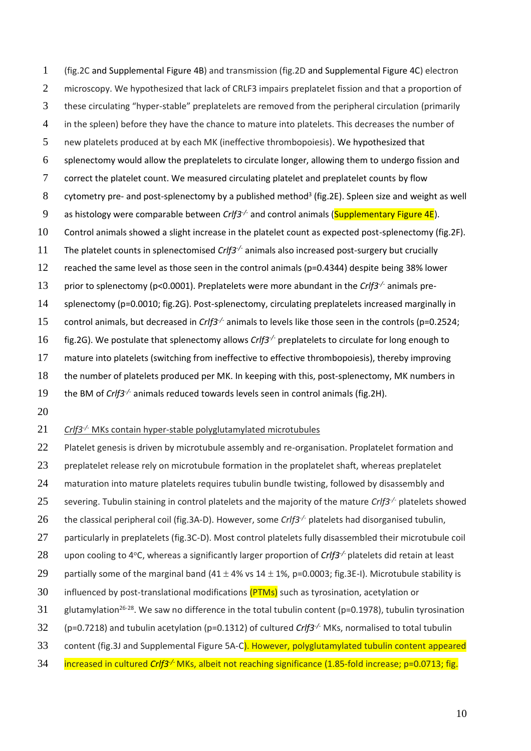1 (fig.2C and Supplemental Figure 4B) and transmission (fig.2D and Supplemental Figure 4C) electron 2 microscopy. We hypothesized that lack of CRLF3 impairs preplatelet fission and that a proportion of 3 these circulating "hyper-stable" preplatelets are removed from the peripheral circulation (primarily 4 in the spleen) before they have the chance to mature into platelets. This decreases the number of 5 new platelets produced at by each MK (ineffective thrombopoiesis). We hypothesized that 6 splenectomy would allow the preplatelets to circulate longer, allowing them to undergo fission and 7 correct the platelet count. We measured circulating platelet and preplatelet counts by flow 8 cytometry pre- and post-splenectomy by a published method<sup>3</sup> (fig.2E). Spleen size and weight as well 9 as histology were comparable between *Crlf3<sup>-/-</sup>* and control animals (**Supplementary Figure 4E**). 10 Control animals showed a slight increase in the platelet count as expected post-splenectomy (fig.2F). 11 The platelet counts in splenectomised *Crlf3<sup>-/-</sup>* animals also increased post-surgery but crucially 12 reached the same level as those seen in the control animals (p=0.4344) despite being 38% lower 13 prior to splenectomy (p<0.0001). Preplatelets were more abundant in the *Crlf3<sup>-/-</sup>* animals pre-14 splenectomy (p=0.0010; fig.2G). Post-splenectomy, circulating preplatelets increased marginally in 15 control animals, but decreased in *Crlf3<sup>-/-</sup>* animals to levels like those seen in the controls (p=0.2524; fig.2G). We postulate that splenectomy allows *Crlf3<sup>-/-</sup>* preplatelets to circulate for long enough to 17 mature into platelets (switching from ineffective to effective thrombopoiesis), thereby improving 18 the number of platelets produced per MK. In keeping with this, post-splenectomy, MK numbers in 19 the BM of *Crlf3<sup>-/-</sup>* animals reduced towards levels seen in control animals (fig.2H). 20

### 21 *Crlf3<sup>-/-</sup>* MKs contain hyper-stable polyglutamylated microtubules

22 Platelet genesis is driven by microtubule assembly and re-organisation. Proplatelet formation and 23 preplatelet release rely on microtubule formation in the proplatelet shaft, whereas preplatelet 24 maturation into mature platelets requires tubulin bundle twisting, followed by disassembly and 25 severing. Tubulin staining in control platelets and the majority of the mature *Crlf3<sup>-/-</sup>* platelets showed 26 the classical peripheral coil (fig.3A-D). However, some *Crlf3<sup>-/-</sup>* platelets had disorganised tubulin, 27 particularly in preplatelets (fig.3C-D). Most control platelets fully disassembled their microtubule coil 28 upon cooling to 4°C, whereas a significantly larger proportion of *Crlf3<sup>-/-</sup>* platelets did retain at least 29 partially some of the marginal band (41  $\pm$  4% vs 14  $\pm$  1%, p=0.0003; fig.3E-I). Microtubule stability is 30 influenced by post-translational modifications (PTMs) such as tyrosination, acetylation or 31 glutamylation<sup>26-28</sup>. We saw no difference in the total tubulin content (p=0.1978), tubulin tyrosination (p=0.7218) and tubulin acetylation (p=0.1312) of cultured *Crlf3* 32 *-/-* MKs, normalised to total tubulin 33 content (fig.3J and Supplemental Figure 5A-C). However, polyglutamylated tubulin content appeared 34 *increased in cultured Crlf3<sup>-/-</sup> MKs, albeit not reaching significance (1.85-fold increase; p=0.0713; fig.*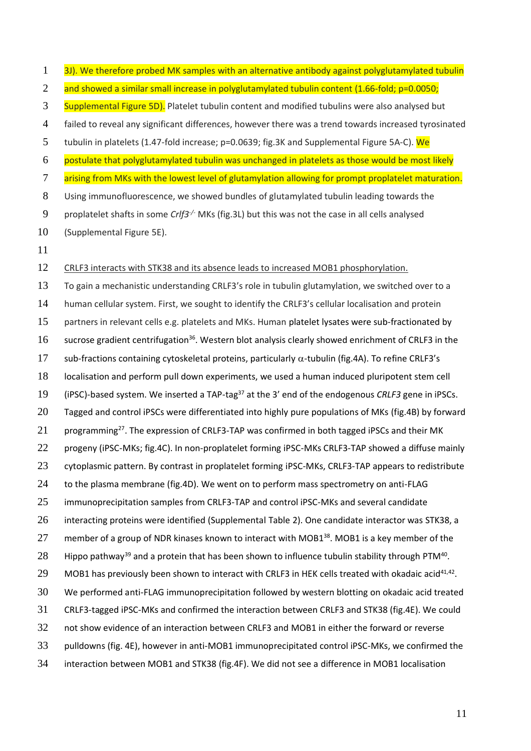| $\mathbf{1}$   | 3J). We therefore probed MK samples with an alternative antibody against polyglutamylated tubulin                        |
|----------------|--------------------------------------------------------------------------------------------------------------------------|
| $\overline{2}$ | and showed a similar small increase in polyglutamylated tubulin content (1.66-fold; p=0.0050;                            |
| 3              | Supplemental Figure 5D). Platelet tubulin content and modified tubulins were also analysed but                           |
| $\overline{4}$ | failed to reveal any significant differences, however there was a trend towards increased tyrosinated                    |
| 5              | tubulin in platelets (1.47-fold increase; p=0.0639; fig.3K and Supplemental Figure 5A-C). We                             |
| 6              | postulate that polyglutamylated tubulin was unchanged in platelets as those would be most likely                         |
| $\tau$         | arising from MKs with the lowest level of glutamylation allowing for prompt proplatelet maturation.                      |
| 8              | Using immunofluorescence, we showed bundles of glutamylated tubulin leading towards the                                  |
| 9              | proplatelet shafts in some CrIf3 <sup>-/-</sup> MKs (fig.3L) but this was not the case in all cells analysed             |
| 10             | (Supplemental Figure 5E).                                                                                                |
| 11             |                                                                                                                          |
| 12             | CRLF3 interacts with STK38 and its absence leads to increased MOB1 phosphorylation.                                      |
| 13             | To gain a mechanistic understanding CRLF3's role in tubulin glutamylation, we switched over to a                         |
| 14             | human cellular system. First, we sought to identify the CRLF3's cellular localisation and protein                        |
| 15             | partners in relevant cells e.g. platelets and MKs. Human platelet lysates were sub-fractionated by                       |
| 16             | sucrose gradient centrifugation <sup>36</sup> . Western blot analysis clearly showed enrichment of CRLF3 in the          |
| 17             | sub-fractions containing cytoskeletal proteins, particularly $\alpha$ -tubulin (fig.4A). To refine CRLF3's               |
| 18             | localisation and perform pull down experiments, we used a human induced pluripotent stem cell                            |
| 19             | (iPSC)-based system. We inserted a TAP-tag <sup>37</sup> at the 3' end of the endogenous CRLF3 gene in iPSCs.            |
| 20             | Tagged and control iPSCs were differentiated into highly pure populations of MKs (fig.4B) by forward                     |
| 21             | programming <sup>27</sup> . The expression of CRLF3-TAP was confirmed in both tagged iPSCs and their MK                  |
| 22             | progeny (iPSC-MKs; fig.4C). In non-proplatelet forming iPSC-MKs CRLF3-TAP showed a diffuse mainly                        |
| 23             | cytoplasmic pattern. By contrast in proplatelet forming iPSC-MKs, CRLF3-TAP appears to redistribute                      |
| 24             | to the plasma membrane (fig.4D). We went on to perform mass spectrometry on anti-FLAG                                    |
| 25             | immunoprecipitation samples from CRLF3-TAP and control iPSC-MKs and several candidate                                    |
| 26             | interacting proteins were identified (Supplemental Table 2). One candidate interactor was STK38, a                       |
| 27             | member of a group of NDR kinases known to interact with MOB1 <sup>38</sup> . MOB1 is a key member of the                 |
| 28             | Hippo pathway <sup>39</sup> and a protein that has been shown to influence tubulin stability through PTM <sup>40</sup> . |
| 29             | MOB1 has previously been shown to interact with CRLF3 in HEK cells treated with okadaic acid <sup>41,42</sup> .          |
| 30             | We performed anti-FLAG immunoprecipitation followed by western blotting on okadaic acid treated                          |
| 31             | CRLF3-tagged iPSC-MKs and confirmed the interaction between CRLF3 and STK38 (fig.4E). We could                           |
| 32             | not show evidence of an interaction between CRLF3 and MOB1 in either the forward or reverse                              |
| 33             | pulldowns (fig. 4E), however in anti-MOB1 immunoprecipitated control iPSC-MKs, we confirmed the                          |
| 34             | interaction between MOB1 and STK38 (fig.4F). We did not see a difference in MOB1 localisation                            |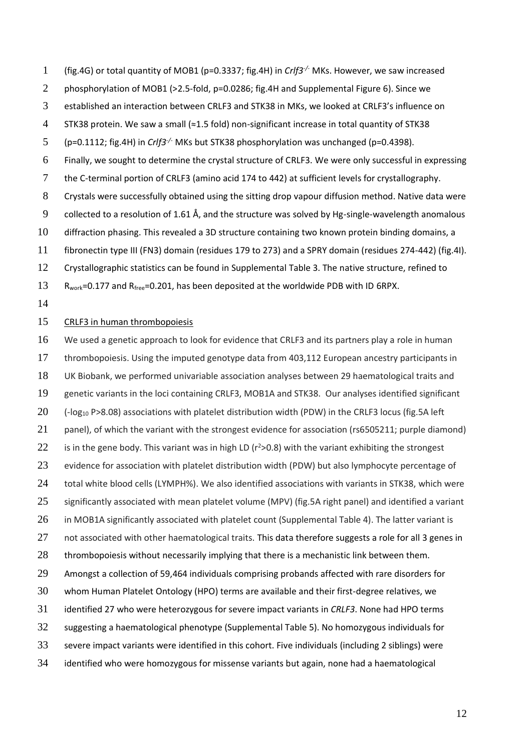1 (fig.4G) or total quantity of MOB1 (p=0.3337; fig.4H) in *Crlf3<sup>-/-</sup>* MKs. However, we saw increased 2 phosphorylation of MOB1 (>2.5-fold, p=0.0286; fig.4H and Supplemental Figure 6). Since we established an interaction between CRLF3 and STK38 in MKs, we looked at CRLF3's influence on STK38 protein. We saw a small (≈1.5 fold) non-significant increase in total quantity of STK38 5 (p=0.1112; fig.4H) in *Crlf3<sup>-/-</sup>* MKs but STK38 phosphorylation was unchanged (p=0.4398). Finally, we sought to determine the crystal structure of CRLF3. We were only successful in expressing the C-terminal portion of CRLF3 (amino acid 174 to 442) at sufficient levels for crystallography. Crystals were successfully obtained using the sitting drop vapour diffusion method. Native data were collected to a resolution of 1.61 Å, and the structure was solved by Hg-single-wavelength anomalous diffraction phasing. This revealed a 3D structure containing two known protein binding domains, a fibronectin type III (FN3) domain (residues 179 to 273) and a SPRY domain (residues 274-442) (fig.4I). Crystallographic statistics can be found in Supplemental Table 3. The native structure, refined to 13 R<sub>work</sub>=0.177 and R<sub>free</sub>=0.201, has been deposited at the worldwide PDB with ID 6RPX.

#### CRLF3 in human thrombopoiesis

 We used a genetic approach to look for evidence that CRLF3 and its partners play a role in human thrombopoiesis. Using the imputed genotype data from 403,112 European ancestry participants in UK Biobank, we performed univariable association analyses between 29 haematological traits and genetic variants in the loci containing CRLF3, MOB1A and STK38. Our analyses identified significant (-log<sub>10</sub> P>8.08) associations with platelet distribution width (PDW) in the CRLF3 locus (fig.5A left 21 panel), of which the variant with the strongest evidence for association (rs6505211; purple diamond) 22 is in the gene body. This variant was in high LD ( $r^2$ >0.8) with the variant exhibiting the strongest evidence for association with platelet distribution width (PDW) but also lymphocyte percentage of total white blood cells (LYMPH%). We also identified associations with variants in STK38, which were 25 significantly associated with mean platelet volume (MPV) (fig.5A right panel) and identified a variant 26 in MOB1A significantly associated with platelet count (Supplemental Table 4). The latter variant is 27 not associated with other haematological traits. This data therefore suggests a role for all 3 genes in 28 thrombopoiesis without necessarily implying that there is a mechanistic link between them. Amongst a collection of 59,464 individuals comprising probands affected with rare disorders for whom Human Platelet Ontology (HPO) terms are available and their first-degree relatives, we identified 27 who were heterozygous for severe impact variants in *CRLF3*. None had HPO terms suggesting a haematological phenotype (Supplemental Table 5). No homozygous individuals for severe impact variants were identified in this cohort. Five individuals (including 2 siblings) were identified who were homozygous for missense variants but again, none had a haematological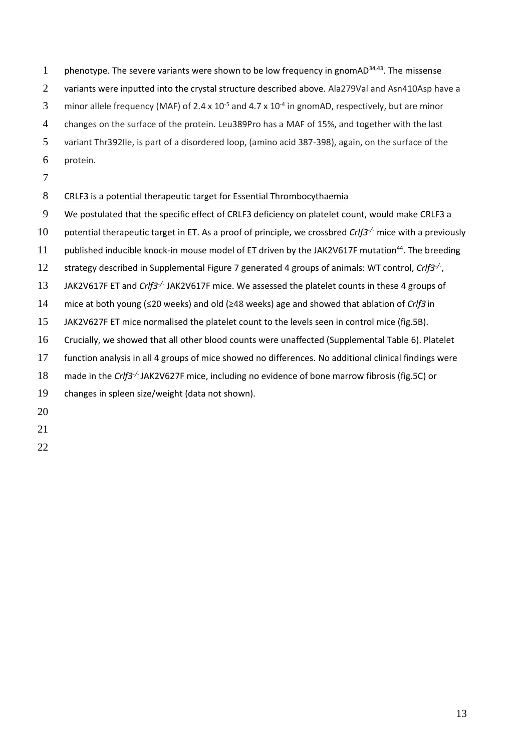1 phenotype. The severe variants were shown to be low frequency in gnomAD $34,43$ . The missense 2 variants were inputted into the crystal structure described above. Ala279Val and Asn410Asp have a 3 minor allele frequency (MAF) of 2.4 x  $10^{-5}$  and 4.7 x  $10^{-4}$  in gnomAD, respectively, but are minor changes on the surface of the protein. Leu389Pro has a MAF of 15%, and together with the last variant Thr392Ile, is part of a disordered loop, (amino acid 387-398), again, on the surface of the protein.

## CRLF3 is a potential therapeutic target for Essential Thrombocythaemia

We postulated that the specific effect of CRLF3 deficiency on platelet count, would make CRLF3 a

10 potential therapeutic target in ET. As a proof of principle, we crossbred *Crlf3<sup>-/-</sup>* mice with a previously

11 published inducible knock-in mouse model of ET driven by the JAK2V617F mutation<sup>44</sup>. The breeding

strategy described in Supplemental Figure 7 generated 4 groups of animals: WT control, *Crlf3-/-* ,

JAK2V617F ET and *Crlf3-/-* JAK2V617F mice. We assessed the platelet counts in these 4 groups of

- mice at both young (≤20 weeks) and old (≥48 weeks) age and showed that ablation of *Crlf3* in
- JAK2V627F ET mice normalised the platelet count to the levels seen in control mice (fig.5B).
- Crucially, we showed that all other blood counts were unaffected (Supplemental Table 6). Platelet
- function analysis in all 4 groups of mice showed no differences. No additional clinical findings were
- 18 made in the *Crlf3<sup>-/-</sup>* JAK2V627F mice, including no evidence of bone marrow fibrosis (fig.5C) or
- changes in spleen size/weight (data not shown).
- 
-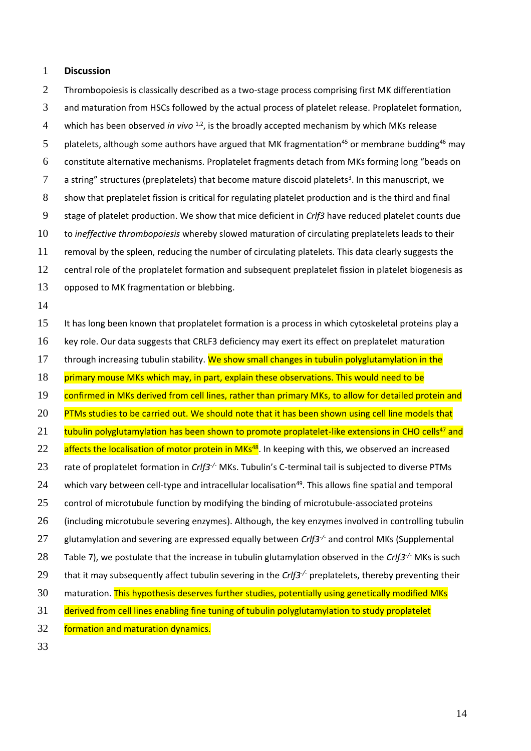#### 1 **Discussion**

2 Thrombopoiesis is classically described as a two-stage process comprising first MK differentiation 3 and maturation from HSCs followed by the actual process of platelet release. Proplatelet formation, 4 which has been observed *in vivo* <sup>1,2</sup>, is the broadly accepted mechanism by which MKs release 5 platelets, although some authors have argued that MK fragmentation<sup>45</sup> or membrane budding<sup>46</sup> may 6 constitute alternative mechanisms. Proplatelet fragments detach from MKs forming long "beads on  $7$  a string" structures (preplatelets) that become mature discoid platelets<sup>3</sup>. In this manuscript, we 8 show that preplatelet fission is critical for regulating platelet production and is the third and final 9 stage of platelet production. We show that mice deficient in *Crlf3* have reduced platelet counts due 10 to *ineffective thrombopoiesis* whereby slowed maturation of circulating preplatelets leads to their 11 removal by the spleen, reducing the number of circulating platelets. This data clearly suggests the 12 central role of the proplatelet formation and subsequent preplatelet fission in platelet biogenesis as 13 opposed to MK fragmentation or blebbing. 14 15 It has long been known that proplatelet formation is a process in which cytoskeletal proteins play a 16 key role. Our data suggests that CRLF3 deficiency may exert its effect on preplatelet maturation 17 through increasing tubulin stability. We show small changes in tubulin polyglutamylation in the 18 primary mouse MKs which may, in part, explain these observations. This would need to be 19 confirmed in MKs derived from cell lines, rather than primary MKs, to allow for detailed protein and 20 PTMs studies to be carried out. We should note that it has been shown using cell line models that 21 tubulin polyglutamylation has been shown to promote proplatelet-like extensions in CHO cells<sup>47</sup> and  $22$  affects the localisation of motor protein in MKs<sup>48</sup>. In keeping with this, we observed an increased 23 rate of proplatelet formation in *Crlf3<sup>-/-</sup> MKs. Tubulin's C-terminal tail is subjected to diverse PTMs* 24 which vary between cell-type and intracellular localisation<sup>49</sup>. This allows fine spatial and temporal 25 control of microtubule function by modifying the binding of microtubule-associated proteins 26 (including microtubule severing enzymes). Although, the key enzymes involved in controlling tubulin 27 glutamylation and severing are expressed equally between *Crlf3<sup>-/-</sup>* and control MKs (Supplemental 28 Table 7), we postulate that the increase in tubulin glutamylation observed in the *Crlf3<sup>-/-</sup> MKs* is such 29 that it may subsequently affect tubulin severing in the *Crlf3<sup>-/-</sup>* preplatelets, thereby preventing their 30 maturation. This hypothesis deserves further studies, potentially using genetically modified MKs 31 derived from cell lines enabling fine tuning of tubulin polyglutamylation to study proplatelet 32 formation and maturation dynamics.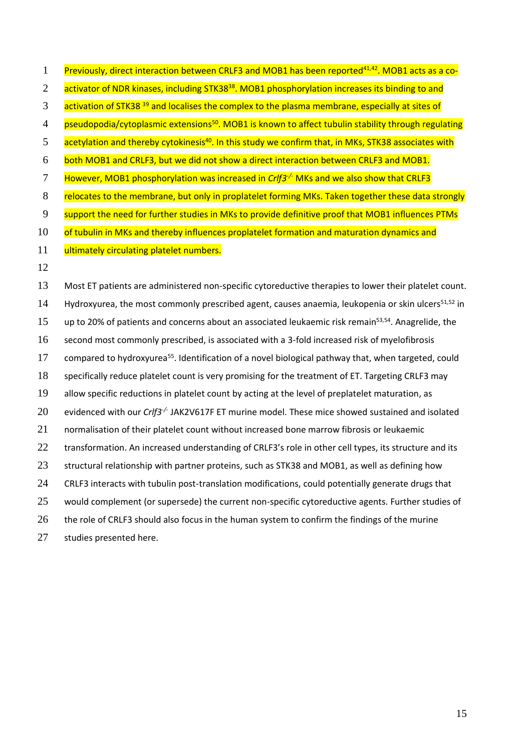| $\mathbf{1}$   | Previously, direct interaction between CRLF3 and MOB1 has been reported <sup>41,42</sup> . MOB1 acts as a co-    |
|----------------|------------------------------------------------------------------------------------------------------------------|
| $\mathbf{2}$   | activator of NDR kinases, including STK38 <sup>38</sup> . MOB1 phosphorylation increases its binding to and      |
| 3              | activation of STK38 <sup>39</sup> and localises the complex to the plasma membrane, especially at sites of       |
| $\overline{4}$ | pseudopodia/cytoplasmic extensions <sup>50</sup> . MOB1 is known to affect tubulin stability through regulating  |
| 5              | acetylation and thereby cytokinesis <sup>40</sup> . In this study we confirm that, in MKs, STK38 associates with |
| 6              | both MOB1 and CRLF3, but we did not show a direct interaction between CRLF3 and MOB1.                            |
| 7              | However, MOB1 phosphorylation was increased in CrIf3 <sup>-/-</sup> MKs and we also show that CRLF3              |
| $8\phantom{.}$ | relocates to the membrane, but only in proplatelet forming MKs. Taken together these data strongly               |
| 9              | support the need for further studies in MKs to provide definitive proof that MOB1 influences PTMs                |
| 10             | of tubulin in MKs and thereby influences proplatelet formation and maturation dynamics and                       |
| 11             | ultimately circulating platelet numbers.                                                                         |
| 12             |                                                                                                                  |
| 13             | Most ET patients are administered non-specific cytoreductive therapies to lower their platelet count.            |
| 14             | Hydroxyurea, the most commonly prescribed agent, causes anaemia, leukopenia or skin ulcers <sup>51,52</sup> in   |
| 15             | up to 20% of patients and concerns about an associated leukaemic risk remain <sup>53,54</sup> . Anagrelide, the  |
| 16             | second most commonly prescribed, is associated with a 3-fold increased risk of myelofibrosis                     |
| 17             | compared to hydroxyurea <sup>55</sup> . Identification of a novel biological pathway that, when targeted, could  |
| 18             | specifically reduce platelet count is very promising for the treatment of ET. Targeting CRLF3 may                |
| 19             | allow specific reductions in platelet count by acting at the level of preplatelet maturation, as                 |
| 20             | evidenced with our CrIf3 <sup>-/-</sup> JAK2V617F ET murine model. These mice showed sustained and isolated      |
| 21             | normalisation of their platelet count without increased bone marrow fibrosis or leukaemic                        |
| 22             | transformation. An increased understanding of CRLF3's role in other cell types, its structure and its            |
| 23             | structural relationship with partner proteins, such as STK38 and MOB1, as well as defining how                   |
| 24             | CRLF3 interacts with tubulin post-translation modifications, could potentially generate drugs that               |
| 25             | would complement (or supersede) the current non-specific cytoreductive agents. Further studies of                |
| 26             | the role of CRLF3 should also focus in the human system to confirm the findings of the murine                    |
| 27             | studies presented here.                                                                                          |
|                |                                                                                                                  |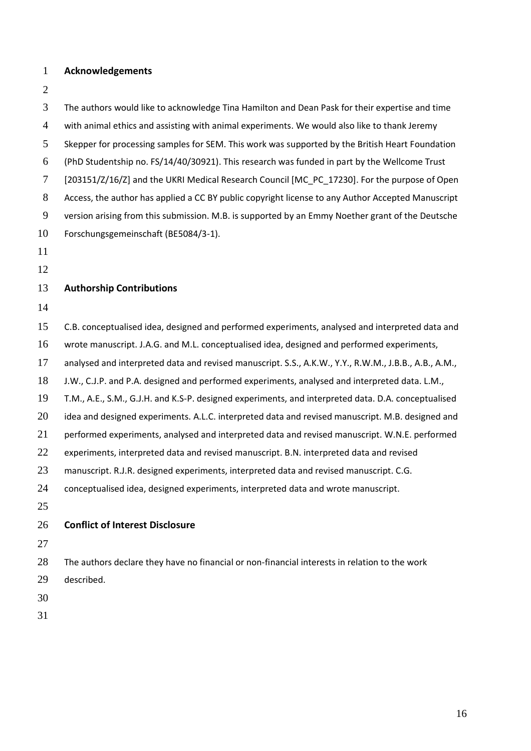#### **Acknowledgements**

 The authors would like to acknowledge Tina Hamilton and Dean Pask for their expertise and time with animal ethics and assisting with animal experiments. We would also like to thank Jeremy Skepper for processing samples for SEM. This work was supported by the British Heart Foundation (PhD Studentship no. FS/14/40/30921). This research was funded in part by the Wellcome Trust [203151/Z/16/Z] and the UKRI Medical Research Council [MC\_PC\_17230]. For the purpose of Open Access, the author has applied a CC BY public copyright license to any Author Accepted Manuscript version arising from this submission. M.B. is supported by an Emmy Noether grant of the Deutsche Forschungsgemeinschaft (BE5084/3-1). **Authorship Contributions**

C.B. conceptualised idea, designed and performed experiments, analysed and interpreted data and

wrote manuscript. J.A.G. and M.L. conceptualised idea, designed and performed experiments,

analysed and interpreted data and revised manuscript. S.S., A.K.W., Y.Y., R.W.M., J.B.B., A.B., A.M.,

J.W., C.J.P. and P.A. designed and performed experiments, analysed and interpreted data. L.M.,

T.M., A.E., S.M., G.J.H. and K.S-P. designed experiments, and interpreted data. D.A. conceptualised

20 idea and designed experiments. A.L.C. interpreted data and revised manuscript. M.B. designed and

performed experiments, analysed and interpreted data and revised manuscript. W.N.E. performed

22 experiments, interpreted data and revised manuscript. B.N. interpreted data and revised

manuscript. R.J.R. designed experiments, interpreted data and revised manuscript. C.G.

conceptualised idea, designed experiments, interpreted data and wrote manuscript.

#### **Conflict of Interest Disclosure**

The authors declare they have no financial or non-financial interests in relation to the work

described.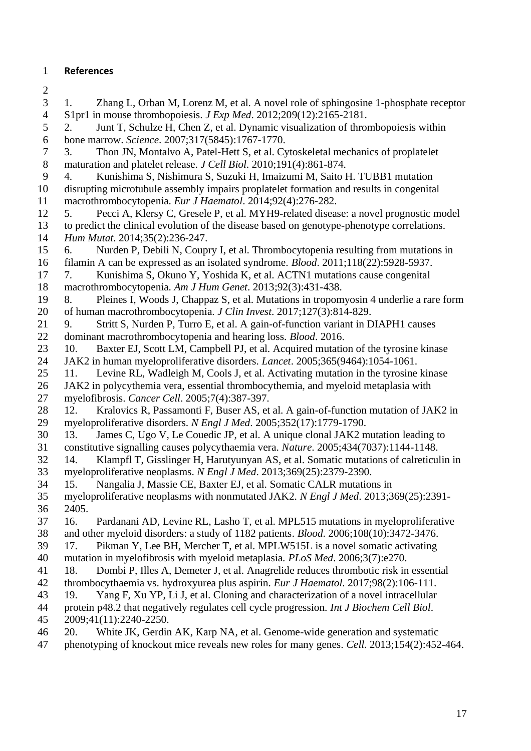## **References**

 $\gamma$ 

| ∠              |                                                                                              |
|----------------|----------------------------------------------------------------------------------------------|
| 3              | Zhang L, Orban M, Lorenz M, et al. A novel role of sphingosine 1-phosphate receptor<br>1.    |
| $\overline{4}$ | S1pr1 in mouse thrombopoiesis. <i>J Exp Med.</i> 2012;209(12):2165-2181.                     |
| 5              | 2.<br>Junt T, Schulze H, Chen Z, et al. Dynamic visualization of thrombopoiesis within       |
| 6              | bone marrow. Science. 2007;317(5845):1767-1770.                                              |
| 7              | Thon JN, Montalvo A, Patel-Hett S, et al. Cytoskeletal mechanics of proplatelet<br>3.        |
| $8\,$          | maturation and platelet release. J Cell Biol. 2010;191(4):861-874.                           |
| 9              | 4.<br>Kunishima S, Nishimura S, Suzuki H, Imaizumi M, Saito H. TUBB1 mutation                |
| 10             | disrupting microtubule assembly impairs proplatelet formation and results in congenital      |
| 11             | macrothrombocytopenia. Eur J Haematol. 2014;92(4):276-282.                                   |
| 12             | Pecci A, Klersy C, Gresele P, et al. MYH9-related disease: a novel prognostic model<br>5.    |
| 13             | to predict the clinical evolution of the disease based on genotype-phenotype correlations.   |
| 14             | Hum Mutat. 2014;35(2):236-247.                                                               |
| 15             | Nurden P, Debili N, Coupry I, et al. Thrombocytopenia resulting from mutations in<br>6.      |
| 16             | filamin A can be expressed as an isolated syndrome. Blood. 2011;118(22):5928-5937.           |
| 17             | Kunishima S, Okuno Y, Yoshida K, et al. ACTN1 mutations cause congenital<br>7.               |
| 18             | macrothrombocytopenia. Am J Hum Genet. 2013;92(3):431-438.                                   |
| 19             | Pleines I, Woods J, Chappaz S, et al. Mutations in tropomyosin 4 underlie a rare form<br>8.  |
| 20             | of human macrothrombocytopenia. J Clin Invest. 2017;127(3):814-829.                          |
| 21             | Stritt S, Nurden P, Turro E, et al. A gain-of-function variant in DIAPH1 causes<br>9.        |
| 22             | dominant macrothrombocytopenia and hearing loss. Blood. 2016.                                |
| 23             | Baxter EJ, Scott LM, Campbell PJ, et al. Acquired mutation of the tyrosine kinase<br>10.     |
| 24             | JAK2 in human myeloproliferative disorders. Lancet. 2005;365(9464):1054-1061.                |
| 25             | Levine RL, Wadleigh M, Cools J, et al. Activating mutation in the tyrosine kinase<br>11.     |
| 26             | JAK2 in polycythemia vera, essential thrombocythemia, and myeloid metaplasia with            |
| 27             | myelofibrosis. Cancer Cell. 2005;7(4):387-397.                                               |
| 28             | 12.<br>Kralovics R, Passamonti F, Buser AS, et al. A gain-of-function mutation of JAK2 in    |
| 29             | myeloproliferative disorders. N Engl J Med. 2005;352(17):1779-1790.                          |
| 30             | James C, Ugo V, Le Couedic JP, et al. A unique clonal JAK2 mutation leading to<br>13.        |
| 31             | constitutive signalling causes polycythaemia vera. Nature. 2005;434(7037):1144-1148.         |
| 32             | Klampfl T, Gisslinger H, Harutyunyan AS, et al. Somatic mutations of calreticulin in<br>14.  |
| 33<br>34       | myeloproliferative neoplasms. N Engl J Med. 2013;369(25):2379-2390.                          |
|                | Nangalia J, Massie CE, Baxter EJ, et al. Somatic CALR mutations in<br>15.                    |
| 35<br>36       | myeloproliferative neoplasms with nonmutated JAK2. N Engl J Med. 2013;369(25):2391-<br>2405. |
| 37             | Pardanani AD, Levine RL, Lasho T, et al. MPL515 mutations in myeloproliferative<br>16.       |
| 38             | and other myeloid disorders: a study of 1182 patients. Blood. 2006;108(10):3472-3476.        |
| 39             | Pikman Y, Lee BH, Mercher T, et al. MPLW515L is a novel somatic activating<br>17.            |
| 40             | mutation in myelofibrosis with myeloid metaplasia. PLoS Med. 2006;3(7):e270.                 |
| 41             | Dombi P, Illes A, Demeter J, et al. Anagrelide reduces thrombotic risk in essential<br>18.   |
| 42             | thrombocythaemia vs. hydroxyurea plus aspirin. Eur J Haematol. 2017;98(2):106-111.           |
| 43             | Yang F, Xu YP, Li J, et al. Cloning and characterization of a novel intracellular<br>19.     |
| 44             | protein p48.2 that negatively regulates cell cycle progression. Int J Biochem Cell Biol.     |
| 45             | 2009;41(11):2240-2250.                                                                       |
| 46             | White JK, Gerdin AK, Karp NA, et al. Genome-wide generation and systematic<br>20.            |
| 47             | phenotyping of knockout mice reveals new roles for many genes. Cell. 2013;154(2):452-464.    |
|                |                                                                                              |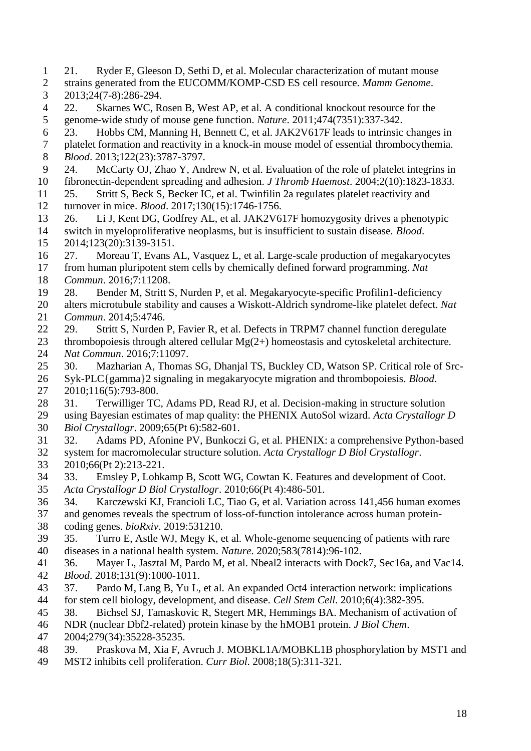- 21. Ryder E, Gleeson D, Sethi D, et al. Molecular characterization of mutant mouse strains generated from the EUCOMM/KOMP-CSD ES cell resource. *Mamm Genome*. 2013;24(7-8):286-294.
- 22. Skarnes WC, Rosen B, West AP, et al. A conditional knockout resource for the genome-wide study of mouse gene function. *Nature*. 2011;474(7351):337-342.
- 23. Hobbs CM, Manning H, Bennett C, et al. JAK2V617F leads to intrinsic changes in platelet formation and reactivity in a knock-in mouse model of essential thrombocythemia. *Blood*. 2013;122(23):3787-3797.
- 24. McCarty OJ, Zhao Y, Andrew N, et al. Evaluation of the role of platelet integrins in
- fibronectin-dependent spreading and adhesion. *J Thromb Haemost*. 2004;2(10):1823-1833. 25. Stritt S, Beck S, Becker IC, et al. Twinfilin 2a regulates platelet reactivity and
- turnover in mice. *Blood*. 2017;130(15):1746-1756.
- 26. Li J, Kent DG, Godfrey AL, et al. JAK2V617F homozygosity drives a phenotypic
- switch in myeloproliferative neoplasms, but is insufficient to sustain disease. *Blood*. 2014;123(20):3139-3151.
- 27. Moreau T, Evans AL, Vasquez L, et al. Large-scale production of megakaryocytes from human pluripotent stem cells by chemically defined forward programming. *Nat*
- *Commun*. 2016;7:11208.
- 28. Bender M, Stritt S, Nurden P, et al. Megakaryocyte-specific Profilin1-deficiency alters microtubule stability and causes a Wiskott-Aldrich syndrome-like platelet defect. *Nat*
- *Commun*. 2014;5:4746.
- 29. Stritt S, Nurden P, Favier R, et al. Defects in TRPM7 channel function deregulate 23 thrombopoiesis through altered cellular Mg(2+) homeostasis and cytoskeletal architecture.
- *Nat Commun*. 2016;7:11097.
- 30. Mazharian A, Thomas SG, Dhanjal TS, Buckley CD, Watson SP. Critical role of Src- Syk-PLC{gamma}2 signaling in megakaryocyte migration and thrombopoiesis. *Blood*. 2010;116(5):793-800.
- 28 31. Terwilliger TC, Adams PD, Read RJ, et al. Decision-making in structure solution<br>29 using Bavesian estimates of map quality: the PHENIX AutoSol wizard. Acta Crystallogr using Bayesian estimates of map quality: the PHENIX AutoSol wizard. *Acta Crystallogr D*
- *Biol Crystallogr*. 2009;65(Pt 6):582-601.
- 32. Adams PD, Afonine PV, Bunkoczi G, et al. PHENIX: a comprehensive Python-based system for macromolecular structure solution. *Acta Crystallogr D Biol Crystallogr*. 2010;66(Pt 2):213-221.
- 33. Emsley P, Lohkamp B, Scott WG, Cowtan K. Features and development of Coot. *Acta Crystallogr D Biol Crystallogr*. 2010;66(Pt 4):486-501.
- 34. Karczewski KJ, Francioli LC, Tiao G, et al. Variation across 141,456 human exomes
- and genomes reveals the spectrum of loss-of-function intolerance across human protein-coding genes. *bioRxiv*. 2019:531210.
- 35. Turro E, Astle WJ, Megy K, et al. Whole-genome sequencing of patients with rare diseases in a national health system. *Nature*. 2020;583(7814):96-102.
- 36. Mayer L, Jasztal M, Pardo M, et al. Nbeal2 interacts with Dock7, Sec16a, and Vac14. *Blood*. 2018;131(9):1000-1011.
- 37. Pardo M, Lang B, Yu L, et al. An expanded Oct4 interaction network: implications for stem cell biology, development, and disease. *Cell Stem Cell*. 2010;6(4):382-395.
- 38. Bichsel SJ, Tamaskovic R, Stegert MR, Hemmings BA. Mechanism of activation of
- NDR (nuclear Dbf2-related) protein kinase by the hMOB1 protein. *J Biol Chem*.
- 2004;279(34):35228-35235.
- 39. Praskova M, Xia F, Avruch J. MOBKL1A/MOBKL1B phosphorylation by MST1 and MST2 inhibits cell proliferation. *Curr Biol*. 2008;18(5):311-321.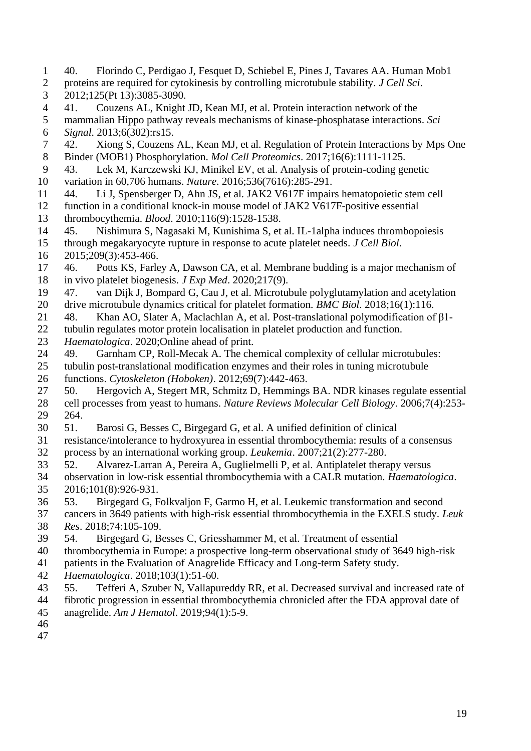- 40. Florindo C, Perdigao J, Fesquet D, Schiebel E, Pines J, Tavares AA. Human Mob1
- proteins are required for cytokinesis by controlling microtubule stability. *J Cell Sci*. 2012;125(Pt 13):3085-3090.
- 41. Couzens AL, Knight JD, Kean MJ, et al. Protein interaction network of the
- mammalian Hippo pathway reveals mechanisms of kinase-phosphatase interactions. *Sci Signal*. 2013;6(302):rs15.
- 42. Xiong S, Couzens AL, Kean MJ, et al. Regulation of Protein Interactions by Mps One Binder (MOB1) Phosphorylation. *Mol Cell Proteomics*. 2017;16(6):1111-1125.
- 43. Lek M, Karczewski KJ, Minikel EV, et al. Analysis of protein-coding genetic variation in 60,706 humans. *Nature*. 2016;536(7616):285-291.
- 
- 44. Li J, Spensberger D, Ahn JS, et al. JAK2 V617F impairs hematopoietic stem cell
- function in a conditional knock-in mouse model of JAK2 V617F-positive essential thrombocythemia. *Blood*. 2010;116(9):1528-1538.
- 45. Nishimura S, Nagasaki M, Kunishima S, et al. IL-1alpha induces thrombopoiesis
- through megakaryocyte rupture in response to acute platelet needs. *J Cell Biol*.
- 2015;209(3):453-466.
- 46. Potts KS, Farley A, Dawson CA, et al. Membrane budding is a major mechanism of in vivo platelet biogenesis. *J Exp Med*. 2020;217(9).
- 47. van Dijk J, Bompard G, Cau J, et al. Microtubule polyglutamylation and acetylation drive microtubule dynamics critical for platelet formation. *BMC Biol*. 2018;16(1):116.
- 48. Khan AO, Slater A, Maclachlan A, et al. Post-translational polymodification of β1-
- tubulin regulates motor protein localisation in platelet production and function.
- *Haematologica*. 2020;Online ahead of print.
- 49. Garnham CP, Roll-Mecak A. The chemical complexity of cellular microtubules:
- tubulin post-translational modification enzymes and their roles in tuning microtubule functions. *Cytoskeleton (Hoboken)*. 2012;69(7):442-463.
- 50. Hergovich A, Stegert MR, Schmitz D, Hemmings BA. NDR kinases regulate essential
- cell processes from yeast to humans. *Nature Reviews Molecular Cell Biology*. 2006;7(4):253- 264.
- 51. Barosi G, Besses C, Birgegard G, et al. A unified definition of clinical
- resistance/intolerance to hydroxyurea in essential thrombocythemia: results of a consensus
- process by an international working group. *Leukemia*. 2007;21(2):277-280.
- 52. Alvarez-Larran A, Pereira A, Guglielmelli P, et al. Antiplatelet therapy versus
- observation in low-risk essential thrombocythemia with a CALR mutation. *Haematologica*. 2016;101(8):926-931.
- 53. Birgegard G, Folkvaljon F, Garmo H, et al. Leukemic transformation and second
- cancers in 3649 patients with high-risk essential thrombocythemia in the EXELS study. *Leuk Res*. 2018;74:105-109.
- 54. Birgegard G, Besses C, Griesshammer M, et al. Treatment of essential
- thrombocythemia in Europe: a prospective long-term observational study of 3649 high-risk
- patients in the Evaluation of Anagrelide Efficacy and Long-term Safety study.
- *Haematologica*. 2018;103(1):51-60.
- 55. Tefferi A, Szuber N, Vallapureddy RR, et al. Decreased survival and increased rate of fibrotic progression in essential thrombocythemia chronicled after the FDA approval date of anagrelide. *Am J Hematol*. 2019;94(1):5-9.
- 
-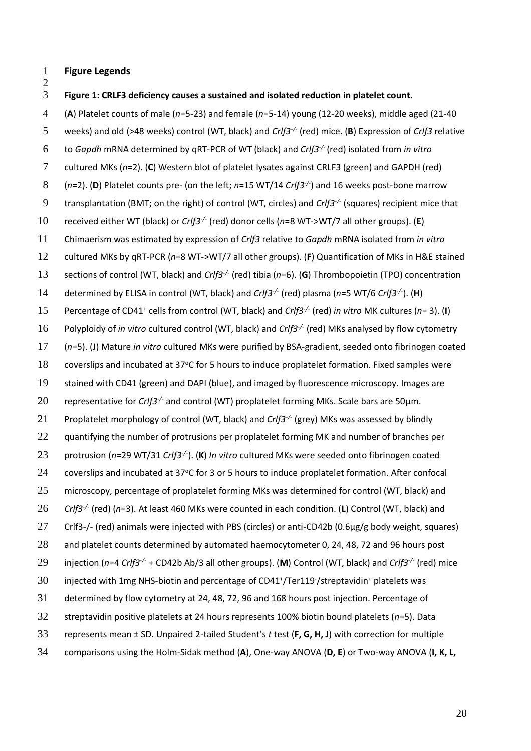1 **Figure Legends**

2

3 **Figure 1: CRLF3 deficiency causes a sustained and isolated reduction in platelet count.**

4 (**A**) Platelet counts of male (*n*=5-23) and female (*n*=5-14) young (12-20 weeks), middle aged (21-40 5 weeks) and old (>48 weeks) control (WT, black) and *Crlf3<sup>-/-</sup>* (red) mice. (**B**) Expression of *Crlf3* relative fo to *Gapdh* mRNA determined by qRT-PCR of WT (black) and *Crlf3<sup>-/-</sup>* (red) isolated from *in vitro* 7 cultured MKs (*n*=2). (**C**) Western blot of platelet lysates against CRLF3 (green) and GAPDH (red) (*n*=2). (**D**) Platelet counts pre- (on the left; *n*=15 WT/14 *Crlf3-/-* 8 ) and 16 weeks post-bone marrow 9 transplantation (BMT; on the right) of control (WT, circles) and *Crlf3<sup>-/-</sup>* (squares) recipient mice that 10 received either WT (black) or *Crlf3<sup>-/-</sup>* (red) donor cells (*n*=8 WT->WT/7 all other groups). (**E**) 11 Chimaerism was estimated by expression of *Crlf3* relative to *Gapdh* mRNA isolated from *in vitro* 12 cultured MKs by qRT-PCR (*n*=8 WT->WT/7 all other groups). (**F**) Quantification of MKs in H&E stained 13 sections of control (WT, black) and *Crlf3<sup>-/-</sup>* (red) tibia (*n*=6). (**G**) Thrombopoietin (TPO) concentration determined by ELISA in control (WT, black) and *Crlf3-/-* (red) plasma (*n*=5 WT/6 *Crlf3-/-* 14 ). (**H**) 15 Percentage of CD41<sup>+</sup> cells from control (WT, black) and *Crlf3<sup>-/-</sup>* (red) *in vitro* MK cultures (*n*= 3). (**I**) 16 Polyploidy of *in vitro* cultured control (WT, black) and *Crlf3<sup>-/-</sup>* (red) MKs analysed by flow cytometry 17 (*n*=5). (**J**) Mature *in vitro* cultured MKs were purified by BSA-gradient, seeded onto fibrinogen coated 18 coverslips and incubated at 37°C for 5 hours to induce proplatelet formation. Fixed samples were 19 stained with CD41 (green) and DAPI (blue), and imaged by fluorescence microscopy. Images are representative for *Crlf3-/-* 20 and control (WT) proplatelet forming MKs. Scale bars are 50μm. 21 Proplatelet morphology of control (WT, black) and *Crlf3<sup>-/-</sup>* (grey) MKs was assessed by blindly 22 quantifying the number of protrusions per proplatelet forming MK and number of branches per 23 protrusion (n=29 WT/31 *Crlf3<sup>-/-</sup>)*. (K) *In vitro* cultured MKs were seeded onto fibrinogen coated  $24$  coverslips and incubated at 37 $\degree$ C for 3 or 5 hours to induce proplatelet formation. After confocal 25 microscopy, percentage of proplatelet forming MKs was determined for control (WT, black) and 26 Crlf3<sup>-/-</sup> (red) (n=3). At least 460 MKs were counted in each condition. (L) Control (WT, black) and 27 Crlf3-/- (red) animals were injected with PBS (circles) or anti-CD42b (0.6µg/g body weight, squares) 28 and platelet counts determined by automated haemocytometer 0, 24, 48, 72 and 96 hours post 29 injection ( $n=4$  Crlf3<sup>-/</sup> + CD42b Ab/3 all other groups). (M) Control (WT, black) and Crlf3<sup>-/-</sup> (red) mice  $30$  injected with 1mg NHS-biotin and percentage of CD41<sup>+</sup>/Ter119<sup>-</sup>/streptavidin<sup>+</sup> platelets was 31 determined by flow cytometry at 24, 48, 72, 96 and 168 hours post injection. Percentage of 32 streptavidin positive platelets at 24 hours represents 100% biotin bound platelets (*n*=5). Data 33 represents mean ± SD. Unpaired 2-tailed Student's *t* test (**F, G, H, J**) with correction for multiple 34 comparisons using the Holm-Sidak method (**A**), One-way ANOVA (**D, E**) or Two-way ANOVA (**I, K, L,**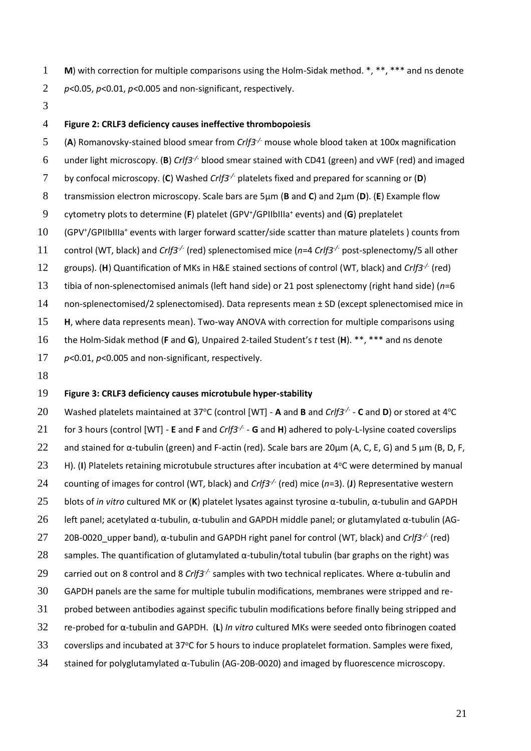**M**) with correction for multiple comparisons using the Holm-Sidak method. \*, \*\*, \*\*\* and ns denote *p*<0.05, *p*<0.01, *p*<0.005 and non-significant, respectively.

## **Figure 2: CRLF3 deficiency causes ineffective thrombopoiesis**

5 (A) Romanovsky-stained blood smear from *Crlf3<sup>-/-</sup>* mouse whole blood taken at 100x magnification under light microscopy. (**B**) *Crlf3-/-* blood smear stained with CD41 (green) and vWF (red) and imaged by confocal microscopy. (**C**) Washed *Crlf3-/-* platelets fixed and prepared for scanning or (**D**) transmission electron microscopy. Scale bars are 5μm (**B** and **C**) and 2μm (**D**). (**E**) Example flow 9 cytometry plots to determine (F) platelet (GPV<sup>+</sup>/GPIIbIIIa<sup>+</sup> events) and (G) preplatelet 10 (GPV<sup>+</sup>/GPIIbIIIa<sup>+</sup> events with larger forward scatter/side scatter than mature platelets) counts from 11 control (WT, black) and *Crlf3<sup>-/-</sup>* (red) splenectomised mice (n=4 *Crlf3<sup>-/-</sup>* post-splenectomy/5 all other 12 groups). (**H**) Quantification of MKs in H&E stained sections of control (WT, black) and *Crlf3<sup>-/-</sup>* (red) tibia of non-splenectomised animals (left hand side) or 21 post splenectomy (right hand side) (*n*=6 non-splenectomised/2 splenectomised). Data represents mean ± SD (except splenectomised mice in **H**, where data represents mean). Two-way ANOVA with correction for multiple comparisons using the Holm-Sidak method (**F** and **G**), Unpaired 2-tailed Student's *t* test (**H**). \*\*, \*\*\* and ns denote *p*<0.01, *p*<0.005 and non-significant, respectively.

#### **Figure 3: CRLF3 deficiency causes microtubule hyper-stability**

20 Washed platelets maintained at 37°C (control [WT] - A and B and *Crlf3<sup>-/-*</sup> - C and D</sup>) or stored at 4°C for 3 hours (control [WT] - **E** and **F** and *Crlf3-/-* - **G** and **H**) adhered to poly-L-lysine coated coverslips 22 and stained for  $\alpha$ -tubulin (green) and F-actin (red). Scale bars are 20  $\mu$ m (A, C, E, G) and 5  $\mu$ m (B, D, F, 23 H). (**I**) Platelets retaining microtubule structures after incubation at 4°C were determined by manual 24 counting of images for control (WT, black) and *Crlf3<sup>-/-</sup>* (red) mice (*n*=3). (J) Representative western blots of *in vitro* cultured MK or (**K**) platelet lysates against tyrosine α-tubulin, α-tubulin and GAPDH 26 left panel; acetylated α-tubulin, α-tubulin and GAPDH middle panel; or glutamylated α-tubulin (AG-20B-0020\_upper band), α-tubulin and GAPDH right panel for control (WT, black) and *Crlf3-/-* (red) 28 samples. The quantification of glutamylated  $\alpha$ -tubulin/total tubulin (bar graphs on the right) was carried out on 8 control and 8 *Crlf3-/-* samples with two technical replicates. Where α-tubulin and GAPDH panels are the same for multiple tubulin modifications, membranes were stripped and re- probed between antibodies against specific tubulin modifications before finally being stripped and re-probed for α-tubulin and GAPDH. (**L**) *In vitro* cultured MKs were seeded onto fibrinogen coated coverslips and incubated at 37 $\degree$ C for 5 hours to induce proplatelet formation. Samples were fixed, stained for polyglutamylated α-Tubulin (AG-20B-0020) and imaged by fluorescence microscopy.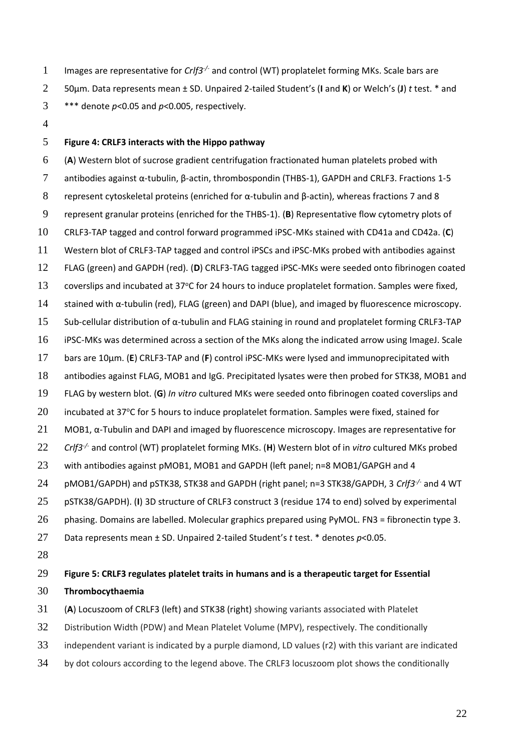- 1 Images are representative for *Crlf3<sup>-/-</sup>* and control (WT) proplatelet forming MKs. Scale bars are 50μm. Data represents mean ± SD. Unpaired 2-tailed Student's (**I** and **K**) or Welch's (**J**) *t* test. \* and \*\*\* denote *p*<0.05 and *p*<0.005, respectively.
- 

### **Figure 4: CRLF3 interacts with the Hippo pathway**

 (**A**) Western blot of sucrose gradient centrifugation fractionated human platelets probed with antibodies against α-tubulin, β-actin, thrombospondin (THBS-1), GAPDH and CRLF3. Fractions 1-5 represent cytoskeletal proteins (enriched for α-tubulin and β-actin), whereas fractions 7 and 8 represent granular proteins (enriched for the THBS-1). (**B**) Representative flow cytometry plots of CRLF3-TAP tagged and control forward programmed iPSC-MKs stained with CD41a and CD42a. (**C**) Western blot of CRLF3-TAP tagged and control iPSCs and iPSC-MKs probed with antibodies against FLAG (green) and GAPDH (red). (**D**) CRLF3-TAG tagged iPSC-MKs were seeded onto fibrinogen coated 13 coverslips and incubated at 37°C for 24 hours to induce proplatelet formation. Samples were fixed, stained with α-tubulin (red), FLAG (green) and DAPI (blue), and imaged by fluorescence microscopy. Sub-cellular distribution of α-tubulin and FLAG staining in round and proplatelet forming CRLF3-TAP iPSC-MKs was determined across a section of the MKs along the indicated arrow using ImageJ. Scale bars are 10µm. (**E**) CRLF3-TAP and (**F**) control iPSC-MKs were lysed and immunoprecipitated with antibodies against FLAG, MOB1 and IgG. Precipitated lysates were then probed for STK38, MOB1 and FLAG by western blot. (**G**) *In vitro* cultured MKs were seeded onto fibrinogen coated coverslips and 20 incubated at 37 $\degree$ C for 5 hours to induce proplatelet formation. Samples were fixed, stained for 21 MOB1,  $\alpha$ -Tubulin and DAPI and imaged by fluorescence microscopy. Images are representative for 22 Crlf3<sup>-/-</sup> and control (WT) proplatelet forming MKs. (H) Western blot of in *vitro* cultured MKs probed with antibodies against pMOB1, MOB1 and GAPDH (left panel; n=8 MOB1/GAPGH and 4 pMOB1/GAPDH) and pSTK38, STK38 and GAPDH (right panel; n=3 STK38/GAPDH, 3 *Crlf3-/-* and 4 WT pSTK38/GAPDH). (**I**) 3D structure of CRLF3 construct 3 (residue 174 to end) solved by experimental phasing. Domains are labelled. Molecular graphics prepared using PyMOL. FN3 = fibronectin type 3. Data represents mean ± SD. Unpaired 2-tailed Student's *t* test. \* denotes *p*<0.05. **Figure 5: CRLF3 regulates platelet traits in humans and is a therapeutic target for Essential Thrombocythaemia** (**A**) Locuszoom of CRLF3 (left) and STK38 (right) showing variants associated with Platelet Distribution Width (PDW) and Mean Platelet Volume (MPV), respectively. The conditionally

- independent variant is indicated by a purple diamond, LD values (r2) with this variant are indicated
- by dot colours according to the legend above. The CRLF3 locuszoom plot shows the conditionally